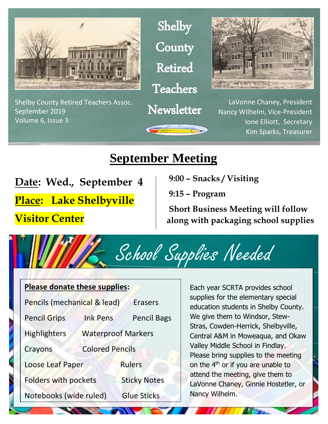

Shelby County Retired Teachers Assoc. September 2019 Volume 6, Issue 3

Shelby **County** Retired Teachers

**Newsletter** 



LaVonne Chaney, President Nancy Wilhelm, Vice-President Ione Elliott, Secretary Kim Sparks, Treasurer

### **September Meeting**

**Date: Wed., September 4**

**Place: Lake Shelbyville** 

**Visitor Center** 

 **9:00 – Snacks / Visiting** 

**9:15 – Program** 

**Short Business Meeting will follow along with packaging school supplies** 



#### **Please donate these supplies:**

| Pencils (mechanical & lead) |                           | <b>Erasers</b>      |
|-----------------------------|---------------------------|---------------------|
| <b>Pencil Grips</b>         | <b>Ink Pens</b>           | <b>Pencil Bags</b>  |
| <b>Highlighters</b>         | <b>Waterproof Markers</b> |                     |
| Crayons                     | <b>Colored Pencils</b>    |                     |
| Loose Leaf Paper            |                           | <b>Rulers</b>       |
| <b>Folders with pockets</b> |                           | <b>Sticky Notes</b> |
| Notebooks (wide ruled)      |                           | <b>Glue Sticks</b>  |

Each year SCRTA provides school supplies for the elementary special education students in Shelby County. We give them to Windsor, Stew-Stras, Cowden-Herrick, Shelbyville, Central A&M in Moweaqua, and Okaw Valley Middle School in Findlay. Please bring supplies to the meeting on the 4th or if you are unable to attend the meeting, give them to LaVonne Chaney, Ginnie Hostetler, or Nancy Wilhelm.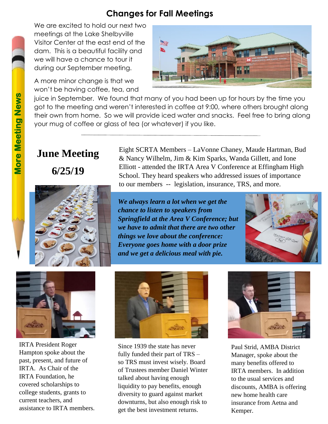#### **Changes for Fall Meetings**

We are excited to hold our next two meetings at the Lake Shelbyville Visitor Center at the east end of the dam. This is a beautiful facility and we will have a chance to tour it during our September meeting.

A more minor change is that we won't be having coffee, tea, and



juice in September. We found that many of you had been up for hours by the time you got to the meeting and weren't interested in coffee at 9:00, where others brought along their own from home. So we will provide iced water and snacks. Feel free to bring along your mug of coffee or glass of tea (or whatever) if you like.

# **June Meeting**

**6/25/19**



Eight SCRTA Members – LaVonne Chaney, Maude Hartman, Bud & Nancy Wilhelm, Jim & Kim Sparks, Wanda Gillett, and Ione Elliott - attended the IRTA Area V Conference at Effingham High School. They heard speakers who addressed issues of importance to our members -- legislation, insurance, TRS, and more.

*We always learn a lot when we get the chance to listen to speakers from Springfield at the Area V Conference; but we have to admit that there are two other things we love about the conference: Everyone goes home with a door prize and we get a delicious meal with pie.*





IRTA President Roger Hampton spoke about the past, present, and future of IRTA. As Chair of the IRTA Foundation, he covered scholarships to college students, grants to current teachers, and assistance to IRTA members.



Since 1939 the state has never fully funded their part of TRS – so TRS must invest wisely. Board of Trustees member Daniel Winter talked about having enough liquidity to pay benefits, enough diversity to guard against market downturns, but also enough risk to get the best investment returns.



Paul Strid, AMBA District Manager, spoke about the many benefits offered to IRTA members. In addition to the usual services and discounts, AMBA is offering new home health care insurance from Aetna and Kemper.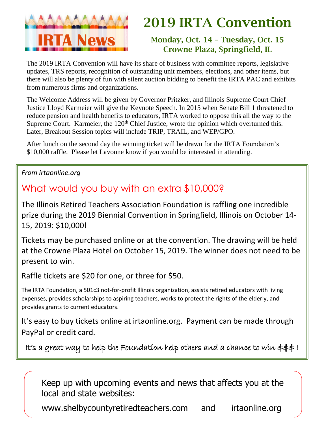

## 2019 IRTA Convention

#### Monday, Oct. 14 – Tuesday, Oct. 15 Crowne Plaza, Springfield, IL

The 2019 IRTA Convention will have its share of business with committee reports, legislative updates, TRS reports, recognition of outstanding unit members, elections, and other items, but there will also be plenty of fun with silent auction bidding to benefit the IRTA PAC and exhibits from numerous firms and organizations.

The Welcome Address will be given by Governor Pritzker, and Illinois Supreme Court Chief Justice Lloyd Karmeier will give the Keynote Speech. In 2015 when Senate Bill 1 threatened to reduce pension and health benefits to educators, IRTA worked to oppose this all the way to the Supreme Court. Karmeier, the  $120<sup>th</sup>$  Chief Justice, wrote the opinion which overturned this. Later, Breakout Session topics will include TRIP, TRAIL, and WEP/GPO.

After lunch on the second day the winning ticket will be drawn for the IRTA Foundation's \$10,000 raffle. Please let Lavonne know if you would be interested in attending.

#### *From irtaonline.org*

### What would you buy with an extra \$10,000?

The Illinois Retired Teachers Association Foundation is raffling one incredible prize during the 2019 Biennial Convention in Springfield, Illinois on October 14- 15, 2019: \$10,000!

Tickets may be purchased online or at the convention. The drawing will be held at the Crowne Plaza Hotel on October 15, 2019. The winner does not need to be present to win.

Raffle tickets are \$20 for one, or three for \$50.

The IRTA Foundation, a 501c3 not-for-profit Illinois organization, assists retired educators with living expenses, provides scholarships to aspiring teachers, works to protect the rights of the elderly, and provides grants to current educators.

It's easy to buy tickets online at irtaonline.org. Payment can be made through PayPal or credit card.

It's a great way to help the Foundation help others and a chance to win  $\text{\#}\text{\#}\text{\#}$  !

Keep up with upcoming events and news that affects you at the local and state websites:

www.shelbycountyretiredteachers.com and irtaonline.org